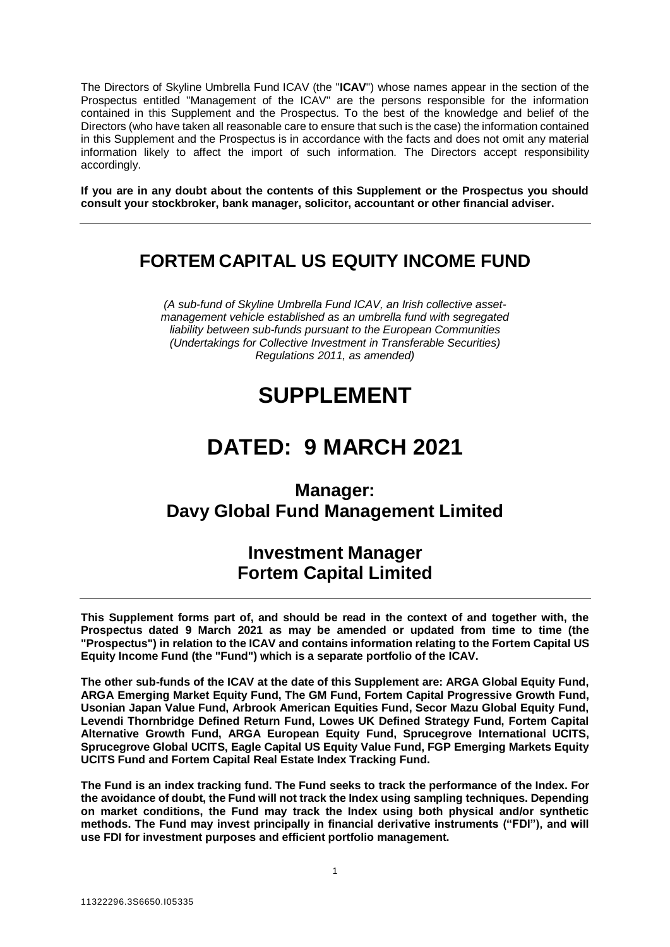The Directors of Skyline Umbrella Fund ICAV (the "**ICAV**") whose names appear in the section of the Prospectus entitled "Management of the ICAV" are the persons responsible for the information contained in this Supplement and the Prospectus. To the best of the knowledge and belief of the Directors (who have taken all reasonable care to ensure that such is the case) the information contained in this Supplement and the Prospectus is in accordance with the facts and does not omit any material information likely to affect the import of such information. The Directors accept responsibility accordingly.

**If you are in any doubt about the contents of this Supplement or the Prospectus you should consult your stockbroker, bank manager, solicitor, accountant or other financial adviser.**

## **FORTEM CAPITAL US EQUITY INCOME FUND**

*(A sub-fund of Skyline Umbrella Fund ICAV, an Irish collective assetmanagement vehicle established as an umbrella fund with segregated liability between sub-funds pursuant to the European Communities (Undertakings for Collective Investment in Transferable Securities) Regulations 2011, as amended)*

# **SUPPLEMENT**

# **DATED: 9 MARCH 2021**

## **Manager: Davy Global Fund Management Limited**

## **Investment Manager Fortem Capital Limited**

**This Supplement forms part of, and should be read in the context of and together with, the Prospectus dated 9 March 2021 as may be amended or updated from time to time (the "Prospectus") in relation to the ICAV and contains information relating to the Fortem Capital US Equity Income Fund (the "Fund") which is a separate portfolio of the ICAV.** 

**The other sub-funds of the ICAV at the date of this Supplement are: ARGA Global Equity Fund, ARGA Emerging Market Equity Fund, The GM Fund, Fortem Capital Progressive Growth Fund, Usonian Japan Value Fund, Arbrook American Equities Fund, Secor Mazu Global Equity Fund, Levendi Thornbridge Defined Return Fund, Lowes UK Defined Strategy Fund, Fortem Capital Alternative Growth Fund, ARGA European Equity Fund, Sprucegrove International UCITS, Sprucegrove Global UCITS, Eagle Capital US Equity Value Fund, FGP Emerging Markets Equity UCITS Fund and Fortem Capital Real Estate Index Tracking Fund.**

**The Fund is an index tracking fund. The Fund seeks to track the performance of the Index. For the avoidance of doubt, the Fund will not track the Index using sampling techniques. Depending on market conditions, the Fund may track the Index using both physical and/or synthetic methods. The Fund may invest principally in financial derivative instruments ("FDI"), and will use FDI for investment purposes and efficient portfolio management.**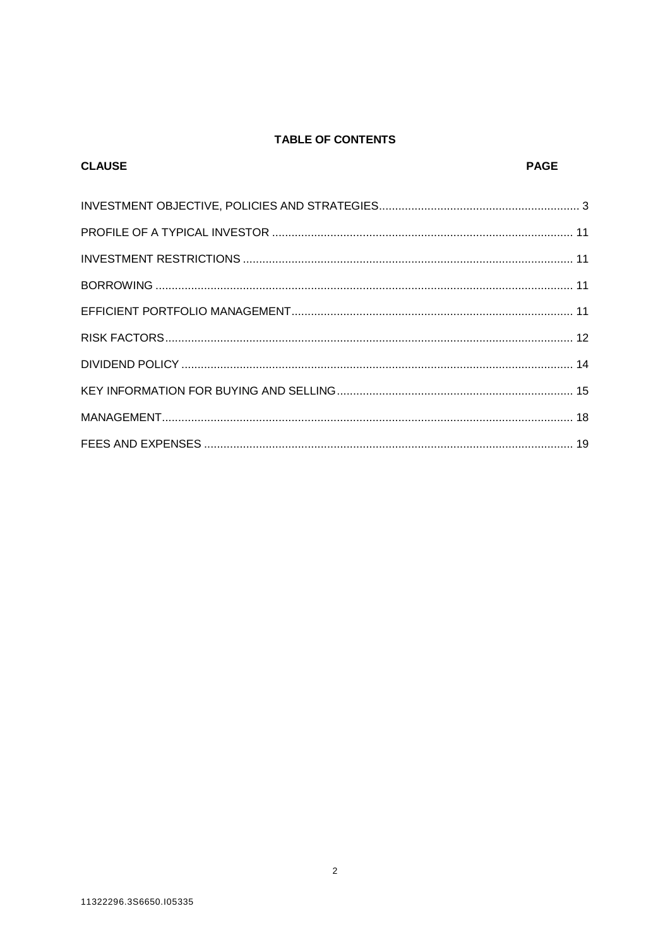### TABLE OF CONTENTS

| <b>CLAUSE</b> | <b>PAGE</b> |
|---------------|-------------|
|               |             |
|               |             |
|               |             |
|               |             |
|               |             |
|               |             |
|               |             |
|               |             |
|               |             |
|               |             |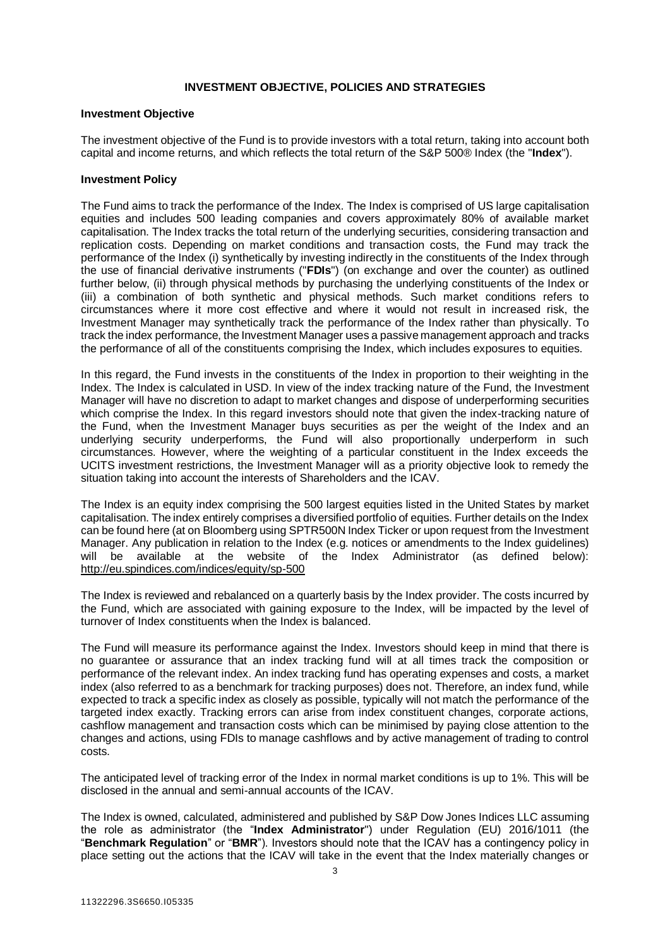#### **INVESTMENT OBJECTIVE, POLICIES AND STRATEGIES**

#### <span id="page-2-0"></span>**Investment Objective**

The investment objective of the Fund is to provide investors with a total return, taking into account both capital and income returns, and which reflects the total return of the S&P 500® Index (the "**Index**").

#### **Investment Policy**

The Fund aims to track the performance of the Index. The Index is comprised of US large capitalisation equities and includes 500 leading companies and covers approximately 80% of available market capitalisation. The Index tracks the total return of the underlying securities, considering transaction and replication costs. Depending on market conditions and transaction costs, the Fund may track the performance of the Index (i) synthetically by investing indirectly in the constituents of the Index through the use of financial derivative instruments ("**FDIs**") (on exchange and over the counter) as outlined further below, (ii) through physical methods by purchasing the underlying constituents of the Index or (iii) a combination of both synthetic and physical methods. Such market conditions refers to circumstances where it more cost effective and where it would not result in increased risk, the Investment Manager may synthetically track the performance of the Index rather than physically. To track the index performance, the Investment Manager uses a passive management approach and tracks the performance of all of the constituents comprising the Index, which includes exposures to equities.

In this regard, the Fund invests in the constituents of the Index in proportion to their weighting in the Index. The Index is calculated in USD. In view of the index tracking nature of the Fund, the Investment Manager will have no discretion to adapt to market changes and dispose of underperforming securities which comprise the Index. In this regard investors should note that given the index-tracking nature of the Fund, when the Investment Manager buys securities as per the weight of the Index and an underlying security underperforms, the Fund will also proportionally underperform in such circumstances. However, where the weighting of a particular constituent in the Index exceeds the UCITS investment restrictions, the Investment Manager will as a priority objective look to remedy the situation taking into account the interests of Shareholders and the ICAV.

The Index is an equity index comprising the 500 largest equities listed in the United States by market capitalisation. The index entirely comprises a diversified portfolio of equities. Further details on the Index can be found here (at on Bloomberg using SPTR500N Index Ticker or upon request from the Investment Manager. Any publication in relation to the Index (e.g. notices or amendments to the Index guidelines) will be available at the website of the Index Administrator (as defined below): <http://eu.spindices.com/indices/equity/sp-500>

The Index is reviewed and rebalanced on a quarterly basis by the Index provider. The costs incurred by the Fund, which are associated with gaining exposure to the Index, will be impacted by the level of turnover of Index constituents when the Index is balanced.

The Fund will measure its performance against the Index. Investors should keep in mind that there is no guarantee or assurance that an index tracking fund will at all times track the composition or performance of the relevant index. An index tracking fund has operating expenses and costs, a market index (also referred to as a benchmark for tracking purposes) does not. Therefore, an index fund, while expected to track a specific index as closely as possible, typically will not match the performance of the targeted index exactly. Tracking errors can arise from index constituent changes, corporate actions, cashflow management and transaction costs which can be minimised by paying close attention to the changes and actions, using FDIs to manage cashflows and by active management of trading to control costs.

The anticipated level of tracking error of the Index in normal market conditions is up to 1%. This will be disclosed in the annual and semi-annual accounts of the ICAV.

The Index is owned, calculated, administered and published by S&P Dow Jones Indices LLC assuming the role as administrator (the "**Index Administrator**") under Regulation (EU) 2016/1011 (the "**Benchmark Regulation**" or "**BMR**"). Investors should note that the ICAV has a contingency policy in place setting out the actions that the ICAV will take in the event that the Index materially changes or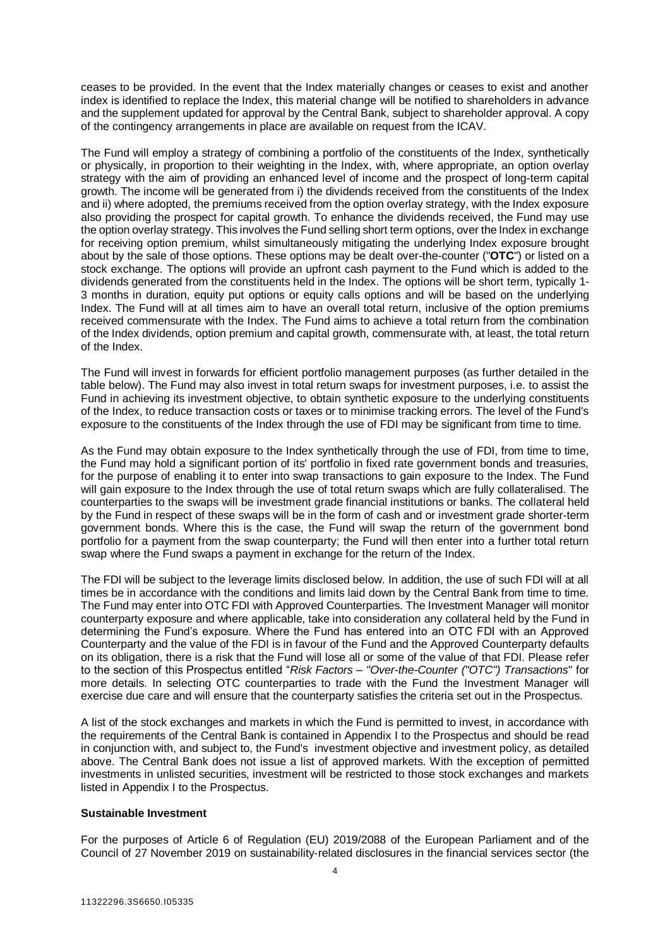ceases to be provided. In the event that the Index materially changes or ceases to exist and another index is identified to replace the Index, this material change will be notified to shareholders in advance and the supplement updated for approval by the Central Bank, subject to shareholder approval. A copy of the contingency arrangements in place are available on request from the ICAV.

The Fund will employ a strategy of combining a portfolio of the constituents of the Index, synthetically or physically, in proportion to their weighting in the Index, with, where appropriate, an option overlay strategy with the aim of providing an enhanced level of income and the prospect of long-term capital growth. The income will be generated from i) the dividends received from the constituents of the Index and ii) where adopted, the premiums received from the option overlay strategy, with the Index exposure also providing the prospect for capital growth. To enhance the dividends received, the Fund may use the option overlay strategy. This involves the Fund selling short term options, over the Index in exchange for receiving option premium, whilst simultaneously mitigating the underlying Index exposure brought about by the sale of those options. These options may be dealt over-the-counter ("**OTC**") or listed on a stock exchange. The options will provide an upfront cash payment to the Fund which is added to the dividends generated from the constituents held in the Index. The options will be short term, typically 1- 3 months in duration, equity put options or equity calls options and will be based on the underlying Index. The Fund will at all times aim to have an overall total return, inclusive of the option premiums received commensurate with the Index. The Fund aims to achieve a total return from the combination of the Index dividends, option premium and capital growth, commensurate with, at least, the total return of the Index.

The Fund will invest in forwards for efficient portfolio management purposes (as further detailed in the table below). The Fund may also invest in total return swaps for investment purposes, i.e. to assist the Fund in achieving its investment objective, to obtain synthetic exposure to the underlying constituents of the Index, to reduce transaction costs or taxes or to minimise tracking errors. The level of the Fund's exposure to the constituents of the Index through the use of FDI may be significant from time to time.

As the Fund may obtain exposure to the Index synthetically through the use of FDI, from time to time, the Fund may hold a significant portion of its' portfolio in fixed rate government bonds and treasuries, for the purpose of enabling it to enter into swap transactions to gain exposure to the Index. The Fund will gain exposure to the Index through the use of total return swaps which are fully collateralised. The counterparties to the swaps will be investment grade financial institutions or banks. The collateral held by the Fund in respect of these swaps will be in the form of cash and or investment grade shorter-term government bonds. Where this is the case, the Fund will swap the return of the government bond portfolio for a payment from the swap counterparty; the Fund will then enter into a further total return swap where the Fund swaps a payment in exchange for the return of the Index.

The FDI will be subject to the leverage limits disclosed below. In addition, the use of such FDI will at all times be in accordance with the conditions and limits laid down by the Central Bank from time to time. The Fund may enter into OTC FDI with Approved Counterparties. The Investment Manager will monitor counterparty exposure and where applicable, take into consideration any collateral held by the Fund in determining the Fund's exposure. Where the Fund has entered into an OTC FDI with an Approved Counterparty and the value of the FDI is in favour of the Fund and the Approved Counterparty defaults on its obligation, there is a risk that the Fund will lose all or some of the value of that FDI. Please refer to the section of this Prospectus entitled "*Risk Factors – "Over-the-Counter ("OTC") Transactions*" for more details. In selecting OTC counterparties to trade with the Fund the Investment Manager will exercise due care and will ensure that the counterparty satisfies the criteria set out in the Prospectus.

A list of the stock exchanges and markets in which the Fund is permitted to invest, in accordance with the requirements of the Central Bank is contained in Appendix I to the Prospectus and should be read in conjunction with, and subject to, the Fund's investment objective and investment policy, as detailed above. The Central Bank does not issue a list of approved markets. With the exception of permitted investments in unlisted securities, investment will be restricted to those stock exchanges and markets listed in Appendix I to the Prospectus.

#### **Sustainable Investment**

For the purposes of Article 6 of Regulation (EU) 2019/2088 of the European Parliament and of the Council of 27 November 2019 on sustainability‐related disclosures in the financial services sector (the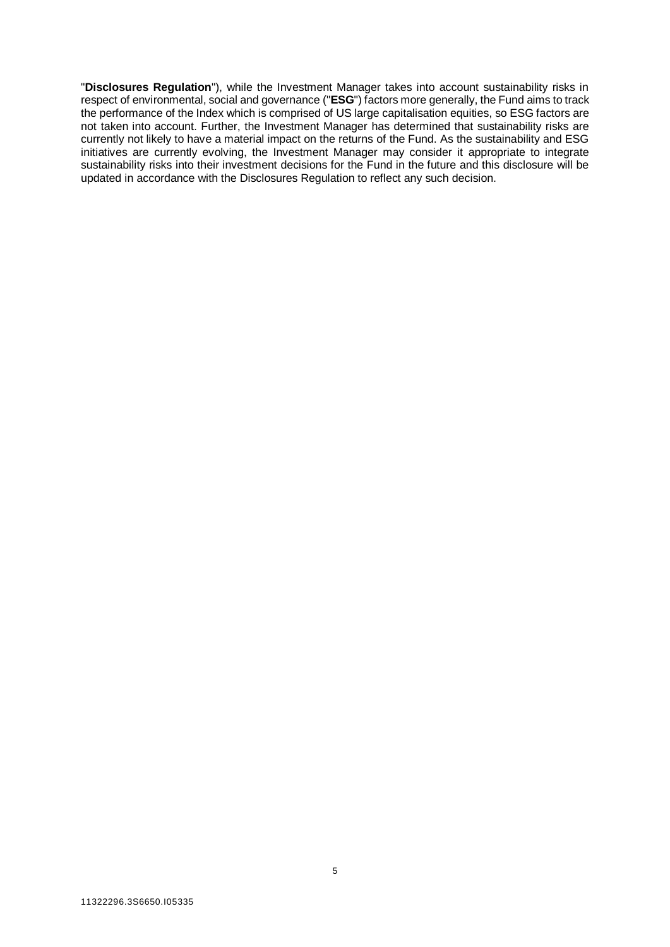"**Disclosures Regulation**"), while the Investment Manager takes into account sustainability risks in respect of environmental, social and governance ("**ESG**") factors more generally, the Fund aims to track the performance of the Index which is comprised of US large capitalisation equities, so ESG factors are not taken into account. Further, the Investment Manager has determined that sustainability risks are currently not likely to have a material impact on the returns of the Fund. As the sustainability and ESG initiatives are currently evolving, the Investment Manager may consider it appropriate to integrate sustainability risks into their investment decisions for the Fund in the future and this disclosure will be updated in accordance with the Disclosures Regulation to reflect any such decision.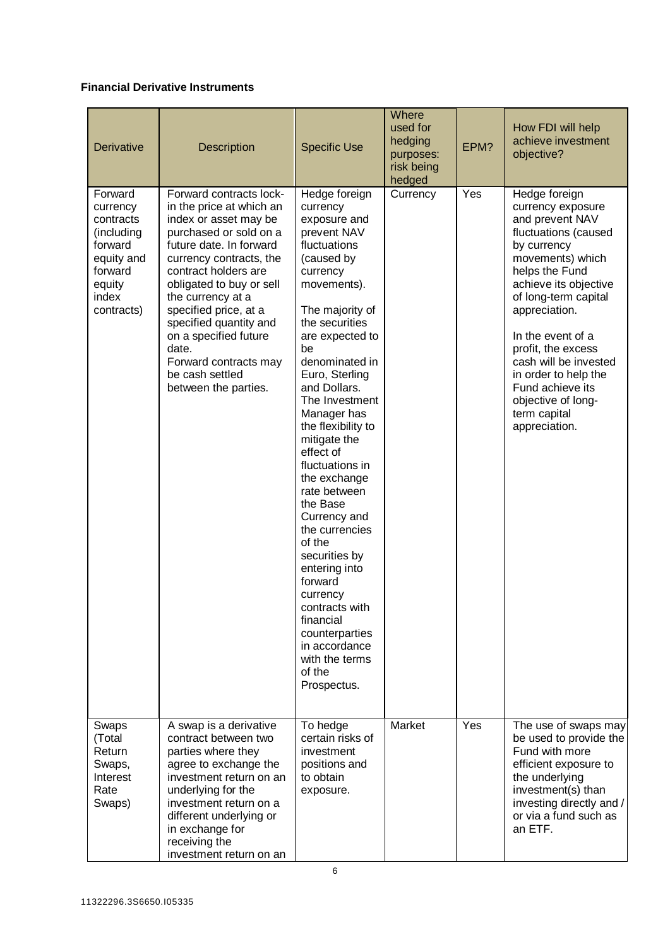### **Financial Derivative Instruments**

| <b>Derivative</b>                                                                                                   | Description                                                                                                                                                                                                                                                                                                                                                                                    | <b>Specific Use</b>                                                                                                                                                                                                                                                                                                                                                                                                                                                                                                                                                                                      | Where<br>used for<br>hedging<br>purposes:<br>risk being<br>hedged | EPM? | How FDI will help<br>achieve investment<br>objective?                                                                                                                                                                                                                                                                                                                       |
|---------------------------------------------------------------------------------------------------------------------|------------------------------------------------------------------------------------------------------------------------------------------------------------------------------------------------------------------------------------------------------------------------------------------------------------------------------------------------------------------------------------------------|----------------------------------------------------------------------------------------------------------------------------------------------------------------------------------------------------------------------------------------------------------------------------------------------------------------------------------------------------------------------------------------------------------------------------------------------------------------------------------------------------------------------------------------------------------------------------------------------------------|-------------------------------------------------------------------|------|-----------------------------------------------------------------------------------------------------------------------------------------------------------------------------------------------------------------------------------------------------------------------------------------------------------------------------------------------------------------------------|
| Forward<br>currency<br>contracts<br>(including<br>forward<br>equity and<br>forward<br>equity<br>index<br>contracts) | Forward contracts lock-<br>in the price at which an<br>index or asset may be<br>purchased or sold on a<br>future date. In forward<br>currency contracts, the<br>contract holders are<br>obligated to buy or sell<br>the currency at a<br>specified price, at a<br>specified quantity and<br>on a specified future<br>date.<br>Forward contracts may<br>be cash settled<br>between the parties. | Hedge foreign<br>currency<br>exposure and<br>prevent NAV<br>fluctuations<br>(caused by<br>currency<br>movements).<br>The majority of<br>the securities<br>are expected to<br>be<br>denominated in<br>Euro, Sterling<br>and Dollars.<br>The Investment<br>Manager has<br>the flexibility to<br>mitigate the<br>effect of<br>fluctuations in<br>the exchange<br>rate between<br>the Base<br>Currency and<br>the currencies<br>of the<br>securities by<br>entering into<br>forward<br>currency<br>contracts with<br>financial<br>counterparties<br>in accordance<br>with the terms<br>of the<br>Prospectus. | Currency                                                          | Yes  | Hedge foreign<br>currency exposure<br>and prevent NAV<br>fluctuations (caused<br>by currency<br>movements) which<br>helps the Fund<br>achieve its objective<br>of long-term capital<br>appreciation.<br>In the event of a<br>profit, the excess<br>cash will be invested<br>in order to help the<br>Fund achieve its<br>objective of long-<br>term capital<br>appreciation. |
| Swaps<br>(Total<br>Return<br>Swaps,<br>Interest<br>Rate<br>Swaps)                                                   | A swap is a derivative<br>contract between two<br>parties where they<br>agree to exchange the<br>investment return on an<br>underlying for the<br>investment return on a<br>different underlying or<br>in exchange for<br>receiving the<br>investment return on an                                                                                                                             | To hedge<br>certain risks of<br>investment<br>positions and<br>to obtain<br>exposure.                                                                                                                                                                                                                                                                                                                                                                                                                                                                                                                    | Market                                                            | Yes  | The use of swaps may<br>be used to provide the<br>Fund with more<br>efficient exposure to<br>the underlying<br>investment(s) than<br>investing directly and /<br>or via a fund such as<br>an ETF.                                                                                                                                                                           |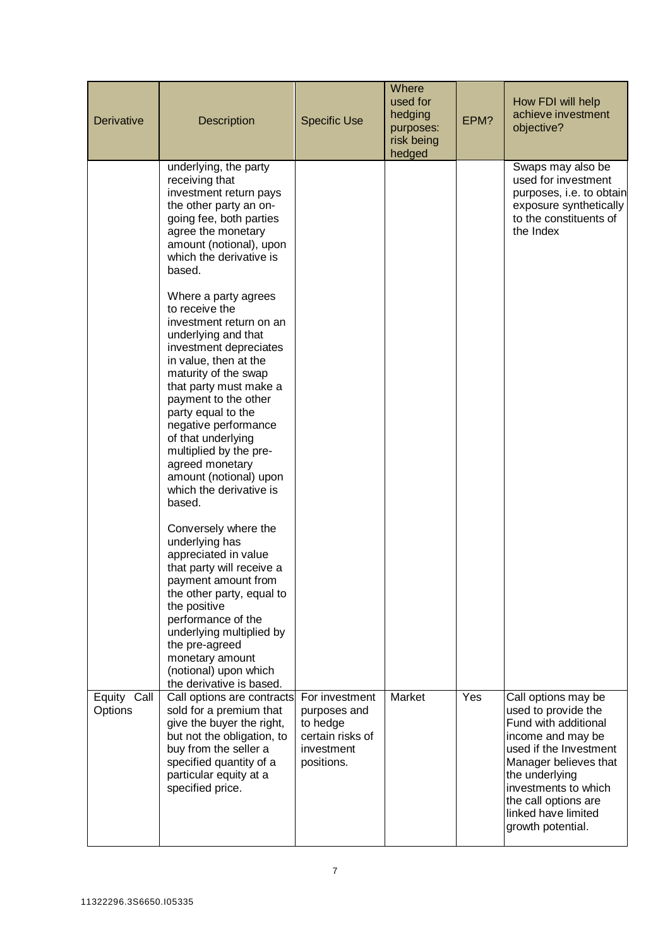| <b>Derivative</b>      | Description                                                                                                                                                                                                                                                                                                                                                                                           | <b>Specific Use</b>                                                                        | Where<br>used for<br>hedging<br>purposes:<br>risk being<br>hedged | EPM? | How FDI will help<br>achieve investment<br>objective?                                                                                                                                                                                                    |
|------------------------|-------------------------------------------------------------------------------------------------------------------------------------------------------------------------------------------------------------------------------------------------------------------------------------------------------------------------------------------------------------------------------------------------------|--------------------------------------------------------------------------------------------|-------------------------------------------------------------------|------|----------------------------------------------------------------------------------------------------------------------------------------------------------------------------------------------------------------------------------------------------------|
|                        | underlying, the party<br>receiving that<br>investment return pays<br>the other party an on-<br>going fee, both parties<br>agree the monetary<br>amount (notional), upon<br>which the derivative is<br>based.                                                                                                                                                                                          |                                                                                            |                                                                   |      | Swaps may also be<br>used for investment<br>purposes, i.e. to obtain<br>exposure synthetically<br>to the constituents of<br>the Index                                                                                                                    |
|                        | Where a party agrees<br>to receive the<br>investment return on an<br>underlying and that<br>investment depreciates<br>in value, then at the<br>maturity of the swap<br>that party must make a<br>payment to the other<br>party equal to the<br>negative performance<br>of that underlying<br>multiplied by the pre-<br>agreed monetary<br>amount (notional) upon<br>which the derivative is<br>based. |                                                                                            |                                                                   |      |                                                                                                                                                                                                                                                          |
|                        | Conversely where the<br>underlying has<br>appreciated in value<br>that party will receive a<br>payment amount from<br>the other party, equal to<br>the positive<br>performance of the<br>underlying multiplied by<br>the pre-agreed<br>monetary amount<br>(notional) upon which<br>the derivative is based.                                                                                           |                                                                                            |                                                                   |      |                                                                                                                                                                                                                                                          |
| Equity Call<br>Options | Call options are contracts<br>sold for a premium that<br>give the buyer the right,<br>but not the obligation, to<br>buy from the seller a<br>specified quantity of a<br>particular equity at a<br>specified price.                                                                                                                                                                                    | For investment<br>purposes and<br>to hedge<br>certain risks of<br>investment<br>positions. | Market                                                            | Yes  | Call options may be<br>used to provide the<br>Fund with additional<br>income and may be<br>used if the Investment<br>Manager believes that<br>the underlying<br>investments to which<br>the call options are<br>linked have limited<br>growth potential. |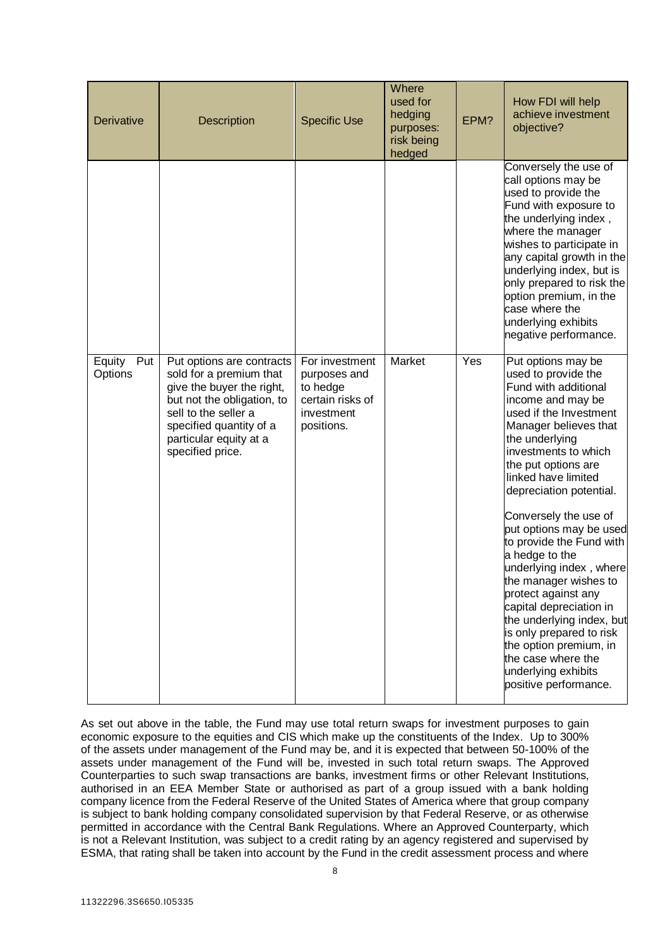| <b>Derivative</b>        | Description                                                                                                                                                                                                      | <b>Specific Use</b>                                                                        | Where<br>used for<br>hedging<br>purposes:<br>risk being<br>hedged | EPM? | How FDI will help<br>achieve investment<br>objective?                                                                                                                                                                                                                                                                                                                                                                                                                                                                                                                                                                         |
|--------------------------|------------------------------------------------------------------------------------------------------------------------------------------------------------------------------------------------------------------|--------------------------------------------------------------------------------------------|-------------------------------------------------------------------|------|-------------------------------------------------------------------------------------------------------------------------------------------------------------------------------------------------------------------------------------------------------------------------------------------------------------------------------------------------------------------------------------------------------------------------------------------------------------------------------------------------------------------------------------------------------------------------------------------------------------------------------|
|                          |                                                                                                                                                                                                                  |                                                                                            |                                                                   |      | Conversely the use of<br>call options may be<br>used to provide the<br>Fund with exposure to<br>the underlying index,<br>where the manager<br>wishes to participate in<br>any capital growth in the<br>underlying index, but is<br>only prepared to risk the<br>option premium, in the<br>case where the<br>underlying exhibits<br>negative performance.                                                                                                                                                                                                                                                                      |
| Equity<br>Put<br>Options | Put options are contracts<br>sold for a premium that<br>give the buyer the right,<br>but not the obligation, to<br>sell to the seller a<br>specified quantity of a<br>particular equity at a<br>specified price. | For investment<br>purposes and<br>to hedge<br>certain risks of<br>investment<br>positions. | Market                                                            | Yes  | Put options may be<br>used to provide the<br>Fund with additional<br>income and may be<br>used if the Investment<br>Manager believes that<br>the underlying<br>investments to which<br>the put options are<br>linked have limited<br>depreciation potential.<br>Conversely the use of<br>put options may be used<br>to provide the Fund with<br>a hedge to the<br>underlying index, where<br>the manager wishes to<br>protect against any<br>capital depreciation in<br>the underlying index, but<br>is only prepared to risk<br>the option premium, in<br>the case where the<br>underlying exhibits<br>positive performance. |

As set out above in the table, the Fund may use total return swaps for investment purposes to gain economic exposure to the equities and CIS which make up the constituents of the Index. Up to 300% of the assets under management of the Fund may be, and it is expected that between 50-100% of the assets under management of the Fund will be, invested in such total return swaps. The Approved Counterparties to such swap transactions are banks, investment firms or other Relevant Institutions, authorised in an EEA Member State or authorised as part of a group issued with a bank holding company licence from the Federal Reserve of the United States of America where that group company is subject to bank holding company consolidated supervision by that Federal Reserve, or as otherwise permitted in accordance with the Central Bank Regulations. Where an Approved Counterparty, which is not a Relevant Institution, was subject to a credit rating by an agency registered and supervised by ESMA, that rating shall be taken into account by the Fund in the credit assessment process and where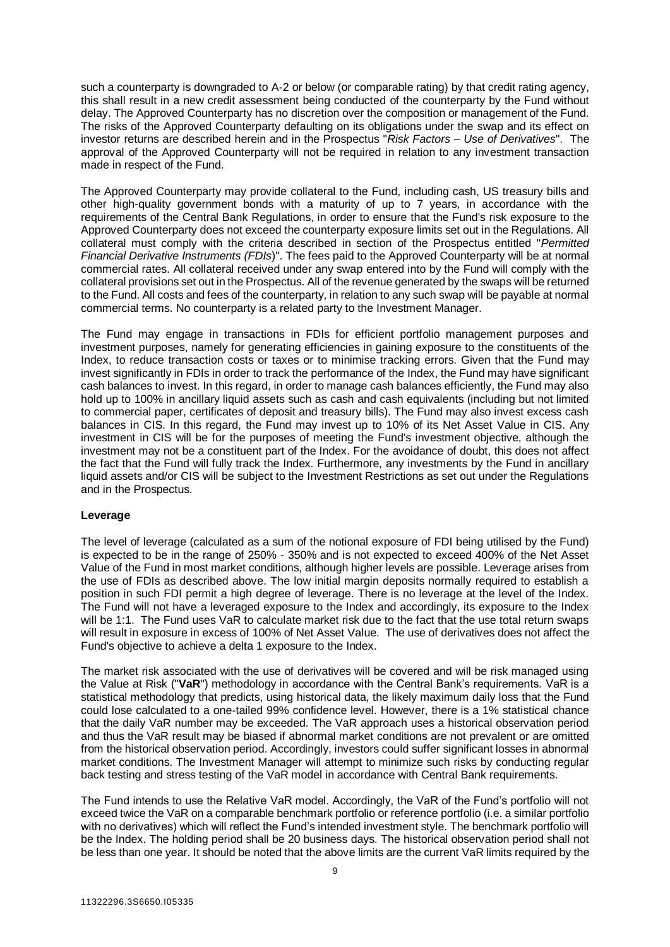such a counterparty is downgraded to A-2 or below (or comparable rating) by that credit rating agency, this shall result in a new credit assessment being conducted of the counterparty by the Fund without delay. The Approved Counterparty has no discretion over the composition or management of the Fund. The risks of the Approved Counterparty defaulting on its obligations under the swap and its effect on investor returns are described herein and in the Prospectus "*Risk Factors – Use of Derivatives*". The approval of the Approved Counterparty will not be required in relation to any investment transaction made in respect of the Fund.

The Approved Counterparty may provide collateral to the Fund, including cash, US treasury bills and other high-quality government bonds with a maturity of up to 7 years, in accordance with the requirements of the Central Bank Regulations, in order to ensure that the Fund's risk exposure to the Approved Counterparty does not exceed the counterparty exposure limits set out in the Regulations. All collateral must comply with the criteria described in section of the Prospectus entitled "*Permitted Financial Derivative Instruments (FDIs*)". The fees paid to the Approved Counterparty will be at normal commercial rates. All collateral received under any swap entered into by the Fund will comply with the collateral provisions set out in the Prospectus. All of the revenue generated by the swaps will be returned to the Fund. All costs and fees of the counterparty, in relation to any such swap will be payable at normal commercial terms. No counterparty is a related party to the Investment Manager.

The Fund may engage in transactions in FDIs for efficient portfolio management purposes and investment purposes, namely for generating efficiencies in gaining exposure to the constituents of the Index, to reduce transaction costs or taxes or to minimise tracking errors. Given that the Fund may invest significantly in FDIs in order to track the performance of the Index, the Fund may have significant cash balances to invest. In this regard, in order to manage cash balances efficiently, the Fund may also hold up to 100% in ancillary liquid assets such as cash and cash equivalents (including but not limited to commercial paper, certificates of deposit and treasury bills). The Fund may also invest excess cash balances in CIS. In this regard, the Fund may invest up to 10% of its Net Asset Value in CIS. Any investment in CIS will be for the purposes of meeting the Fund's investment objective, although the investment may not be a constituent part of the Index. For the avoidance of doubt, this does not affect the fact that the Fund will fully track the Index. Furthermore, any investments by the Fund in ancillary liquid assets and/or CIS will be subject to the Investment Restrictions as set out under the Regulations and in the Prospectus.

#### **Leverage**

The level of leverage (calculated as a sum of the notional exposure of FDI being utilised by the Fund) is expected to be in the range of 250% - 350% and is not expected to exceed 400% of the Net Asset Value of the Fund in most market conditions, although higher levels are possible. Leverage arises from the use of FDIs as described above. The low initial margin deposits normally required to establish a position in such FDI permit a high degree of leverage. There is no leverage at the level of the Index. The Fund will not have a leveraged exposure to the Index and accordingly, its exposure to the Index will be 1:1. The Fund uses VaR to calculate market risk due to the fact that the use total return swaps will result in exposure in excess of 100% of Net Asset Value. The use of derivatives does not affect the Fund's objective to achieve a delta 1 exposure to the Index.

The market risk associated with the use of derivatives will be covered and will be risk managed using the Value at Risk ("**VaR**") methodology in accordance with the Central Bank's requirements. VaR is a statistical methodology that predicts, using historical data, the likely maximum daily loss that the Fund could lose calculated to a one-tailed 99% confidence level. However, there is a 1% statistical chance that the daily VaR number may be exceeded. The VaR approach uses a historical observation period and thus the VaR result may be biased if abnormal market conditions are not prevalent or are omitted from the historical observation period. Accordingly, investors could suffer significant losses in abnormal market conditions. The Investment Manager will attempt to minimize such risks by conducting regular back testing and stress testing of the VaR model in accordance with Central Bank requirements.

The Fund intends to use the Relative VaR model. Accordingly, the VaR of the Fund's portfolio will not exceed twice the VaR on a comparable benchmark portfolio or reference portfolio (i.e. a similar portfolio with no derivatives) which will reflect the Fund's intended investment style. The benchmark portfolio will be the Index. The holding period shall be 20 business days. The historical observation period shall not be less than one year. It should be noted that the above limits are the current VaR limits required by the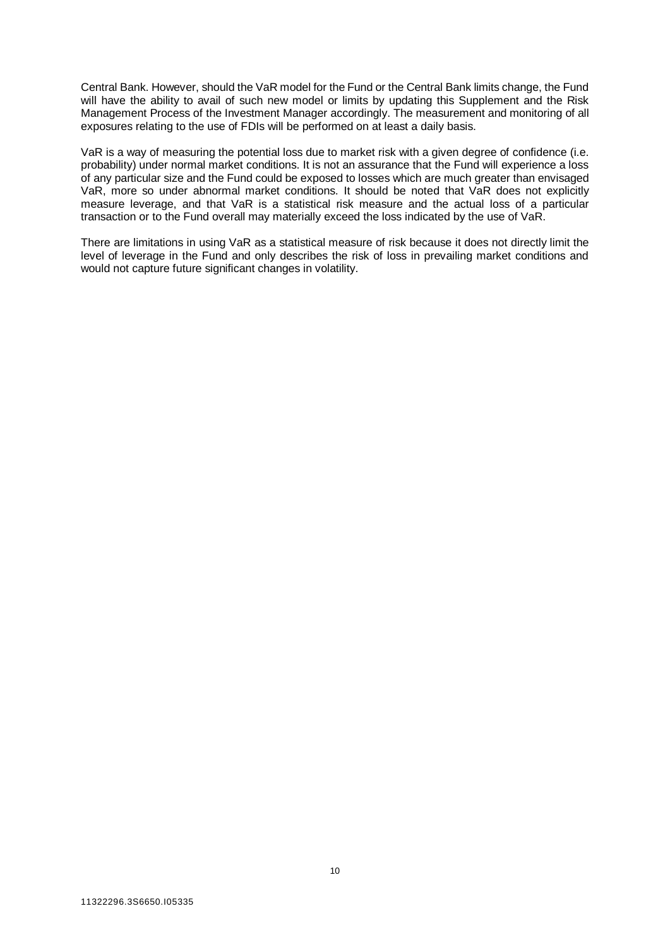Central Bank. However, should the VaR model for the Fund or the Central Bank limits change, the Fund will have the ability to avail of such new model or limits by updating this Supplement and the Risk Management Process of the Investment Manager accordingly. The measurement and monitoring of all exposures relating to the use of FDIs will be performed on at least a daily basis.

VaR is a way of measuring the potential loss due to market risk with a given degree of confidence (i.e. probability) under normal market conditions. It is not an assurance that the Fund will experience a loss of any particular size and the Fund could be exposed to losses which are much greater than envisaged VaR, more so under abnormal market conditions. It should be noted that VaR does not explicitly measure leverage, and that VaR is a statistical risk measure and the actual loss of a particular transaction or to the Fund overall may materially exceed the loss indicated by the use of VaR.

There are limitations in using VaR as a statistical measure of risk because it does not directly limit the level of leverage in the Fund and only describes the risk of loss in prevailing market conditions and would not capture future significant changes in volatility.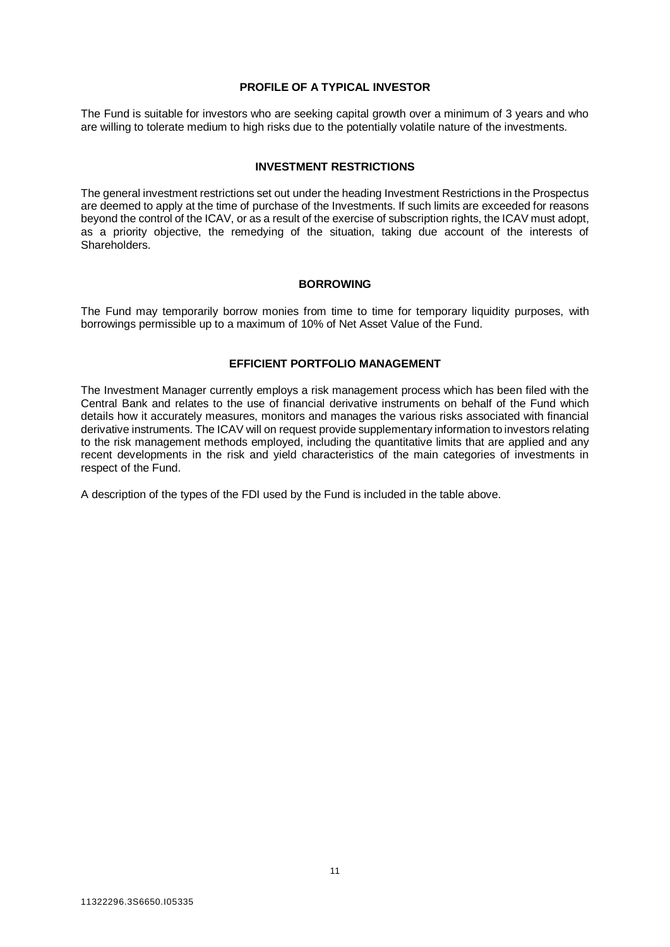#### **PROFILE OF A TYPICAL INVESTOR**

<span id="page-10-1"></span><span id="page-10-0"></span>The Fund is suitable for investors who are seeking capital growth over a minimum of 3 years and who are willing to tolerate medium to high risks due to the potentially volatile nature of the investments.

#### **INVESTMENT RESTRICTIONS**

The general investment restrictions set out under the heading Investment Restrictions in the Prospectus are deemed to apply at the time of purchase of the Investments. If such limits are exceeded for reasons beyond the control of the ICAV, or as a result of the exercise of subscription rights, the ICAV must adopt, as a priority objective, the remedying of the situation, taking due account of the interests of Shareholders.

#### **BORROWING**

<span id="page-10-3"></span><span id="page-10-2"></span>The Fund may temporarily borrow monies from time to time for temporary liquidity purposes, with borrowings permissible up to a maximum of 10% of Net Asset Value of the Fund.

#### **EFFICIENT PORTFOLIO MANAGEMENT**

The Investment Manager currently employs a risk management process which has been filed with the Central Bank and relates to the use of financial derivative instruments on behalf of the Fund which details how it accurately measures, monitors and manages the various risks associated with financial derivative instruments. The ICAV will on request provide supplementary information to investors relating to the risk management methods employed, including the quantitative limits that are applied and any recent developments in the risk and yield characteristics of the main categories of investments in respect of the Fund.

A description of the types of the FDI used by the Fund is included in the table above.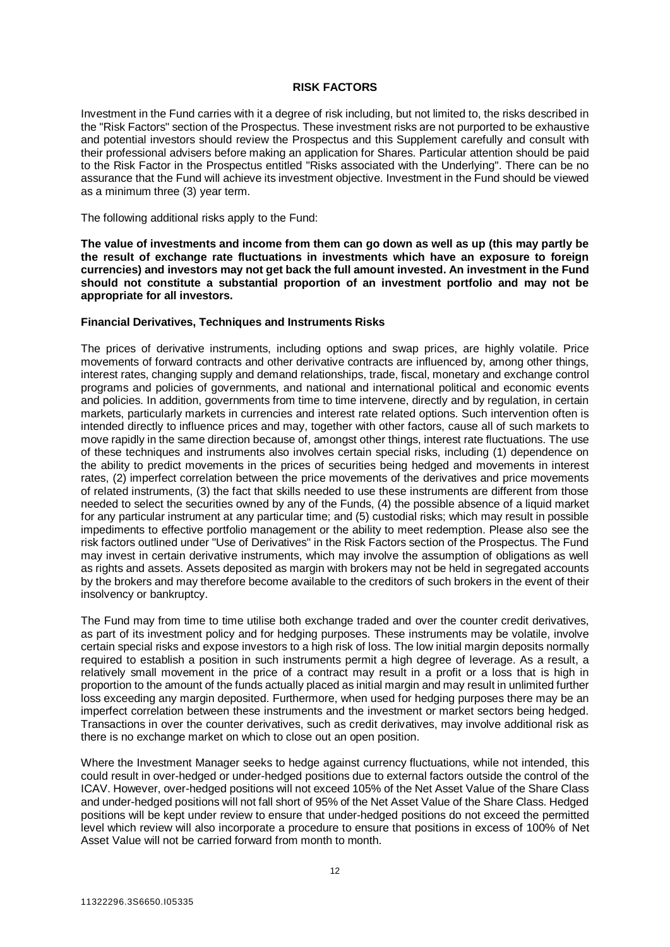#### **RISK FACTORS**

<span id="page-11-0"></span>Investment in the Fund carries with it a degree of risk including, but not limited to, the risks described in the "Risk Factors" section of the Prospectus. These investment risks are not purported to be exhaustive and potential investors should review the Prospectus and this Supplement carefully and consult with their professional advisers before making an application for Shares. Particular attention should be paid to the Risk Factor in the Prospectus entitled "Risks associated with the Underlying". There can be no assurance that the Fund will achieve its investment objective. Investment in the Fund should be viewed as a minimum three (3) year term.

The following additional risks apply to the Fund:

**The value of investments and income from them can go down as well as up (this may partly be the result of exchange rate fluctuations in investments which have an exposure to foreign currencies) and investors may not get back the full amount invested. An investment in the Fund should not constitute a substantial proportion of an investment portfolio and may not be appropriate for all investors.** 

#### **Financial Derivatives, Techniques and Instruments Risks**

The prices of derivative instruments, including options and swap prices, are highly volatile. Price movements of forward contracts and other derivative contracts are influenced by, among other things, interest rates, changing supply and demand relationships, trade, fiscal, monetary and exchange control programs and policies of governments, and national and international political and economic events and policies. In addition, governments from time to time intervene, directly and by regulation, in certain markets, particularly markets in currencies and interest rate related options. Such intervention often is intended directly to influence prices and may, together with other factors, cause all of such markets to move rapidly in the same direction because of, amongst other things, interest rate fluctuations. The use of these techniques and instruments also involves certain special risks, including (1) dependence on the ability to predict movements in the prices of securities being hedged and movements in interest rates, (2) imperfect correlation between the price movements of the derivatives and price movements of related instruments, (3) the fact that skills needed to use these instruments are different from those needed to select the securities owned by any of the Funds, (4) the possible absence of a liquid market for any particular instrument at any particular time; and (5) custodial risks; which may result in possible impediments to effective portfolio management or the ability to meet redemption. Please also see the risk factors outlined under "Use of Derivatives" in the Risk Factors section of the Prospectus. The Fund may invest in certain derivative instruments, which may involve the assumption of obligations as well as rights and assets. Assets deposited as margin with brokers may not be held in segregated accounts by the brokers and may therefore become available to the creditors of such brokers in the event of their insolvency or bankruptcy.

The Fund may from time to time utilise both exchange traded and over the counter credit derivatives, as part of its investment policy and for hedging purposes. These instruments may be volatile, involve certain special risks and expose investors to a high risk of loss. The low initial margin deposits normally required to establish a position in such instruments permit a high degree of leverage. As a result, a relatively small movement in the price of a contract may result in a profit or a loss that is high in proportion to the amount of the funds actually placed as initial margin and may result in unlimited further loss exceeding any margin deposited. Furthermore, when used for hedging purposes there may be an imperfect correlation between these instruments and the investment or market sectors being hedged. Transactions in over the counter derivatives, such as credit derivatives, may involve additional risk as there is no exchange market on which to close out an open position.

Where the Investment Manager seeks to hedge against currency fluctuations, while not intended, this could result in over-hedged or under-hedged positions due to external factors outside the control of the ICAV. However, over-hedged positions will not exceed 105% of the Net Asset Value of the Share Class and under-hedged positions will not fall short of 95% of the Net Asset Value of the Share Class. Hedged positions will be kept under review to ensure that under-hedged positions do not exceed the permitted level which review will also incorporate a procedure to ensure that positions in excess of 100% of Net Asset Value will not be carried forward from month to month.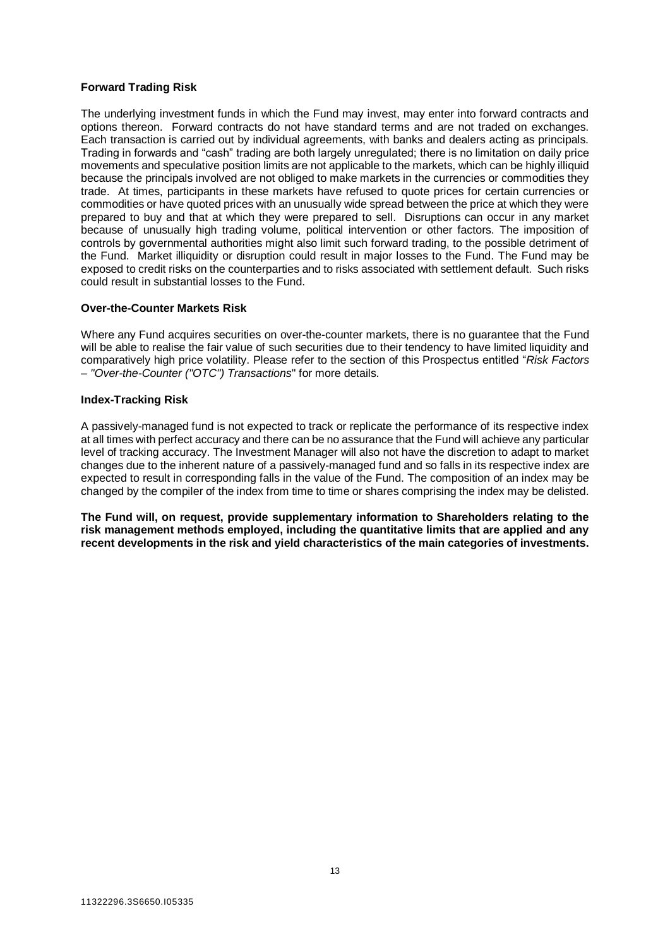#### **Forward Trading Risk**

The underlying investment funds in which the Fund may invest, may enter into forward contracts and options thereon. Forward contracts do not have standard terms and are not traded on exchanges. Each transaction is carried out by individual agreements, with banks and dealers acting as principals. Trading in forwards and "cash" trading are both largely unregulated; there is no limitation on daily price movements and speculative position limits are not applicable to the markets, which can be highly illiquid because the principals involved are not obliged to make markets in the currencies or commodities they trade. At times, participants in these markets have refused to quote prices for certain currencies or commodities or have quoted prices with an unusually wide spread between the price at which they were prepared to buy and that at which they were prepared to sell. Disruptions can occur in any market because of unusually high trading volume, political intervention or other factors. The imposition of controls by governmental authorities might also limit such forward trading, to the possible detriment of the Fund. Market illiquidity or disruption could result in major losses to the Fund. The Fund may be exposed to credit risks on the counterparties and to risks associated with settlement default. Such risks could result in substantial losses to the Fund.

#### **Over-the-Counter Markets Risk**

Where any Fund acquires securities on over-the-counter markets, there is no guarantee that the Fund will be able to realise the fair value of such securities due to their tendency to have limited liquidity and comparatively high price volatility. Please refer to the section of this Prospectus entitled "*Risk Factors – "Over-the-Counter ("OTC") Transactions*" for more details.

#### **Index-Tracking Risk**

A passively-managed fund is not expected to track or replicate the performance of its respective index at all times with perfect accuracy and there can be no assurance that the Fund will achieve any particular level of tracking accuracy. The Investment Manager will also not have the discretion to adapt to market changes due to the inherent nature of a passively-managed fund and so falls in its respective index are expected to result in corresponding falls in the value of the Fund. The composition of an index may be changed by the compiler of the index from time to time or shares comprising the index may be delisted.

**The Fund will, on request, provide supplementary information to Shareholders relating to the risk management methods employed, including the quantitative limits that are applied and any recent developments in the risk and yield characteristics of the main categories of investments.**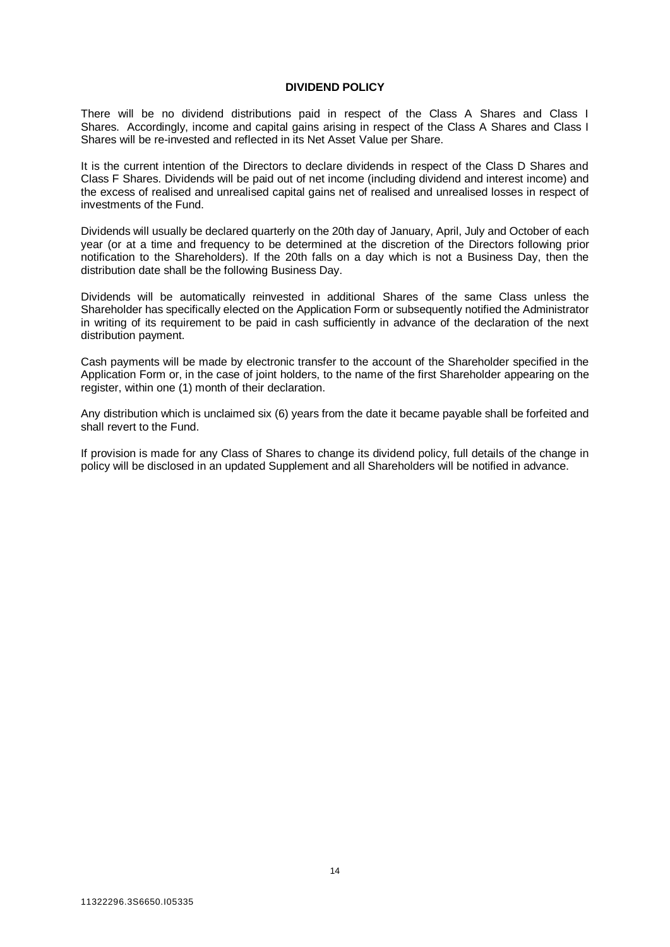#### **DIVIDEND POLICY**

<span id="page-13-0"></span>There will be no dividend distributions paid in respect of the Class A Shares and Class I Shares. Accordingly, income and capital gains arising in respect of the Class A Shares and Class I Shares will be re-invested and reflected in its Net Asset Value per Share.

It is the current intention of the Directors to declare dividends in respect of the Class D Shares and Class F Shares. Dividends will be paid out of net income (including dividend and interest income) and the excess of realised and unrealised capital gains net of realised and unrealised losses in respect of investments of the Fund.

Dividends will usually be declared quarterly on the 20th day of January, April, July and October of each year (or at a time and frequency to be determined at the discretion of the Directors following prior notification to the Shareholders). If the 20th falls on a day which is not a Business Day, then the distribution date shall be the following Business Day.

Dividends will be automatically reinvested in additional Shares of the same Class unless the Shareholder has specifically elected on the Application Form or subsequently notified the Administrator in writing of its requirement to be paid in cash sufficiently in advance of the declaration of the next distribution payment.

Cash payments will be made by electronic transfer to the account of the Shareholder specified in the Application Form or, in the case of joint holders, to the name of the first Shareholder appearing on the register, within one (1) month of their declaration.

Any distribution which is unclaimed six (6) years from the date it became payable shall be forfeited and shall revert to the Fund.

If provision is made for any Class of Shares to change its dividend policy, full details of the change in policy will be disclosed in an updated Supplement and all Shareholders will be notified in advance.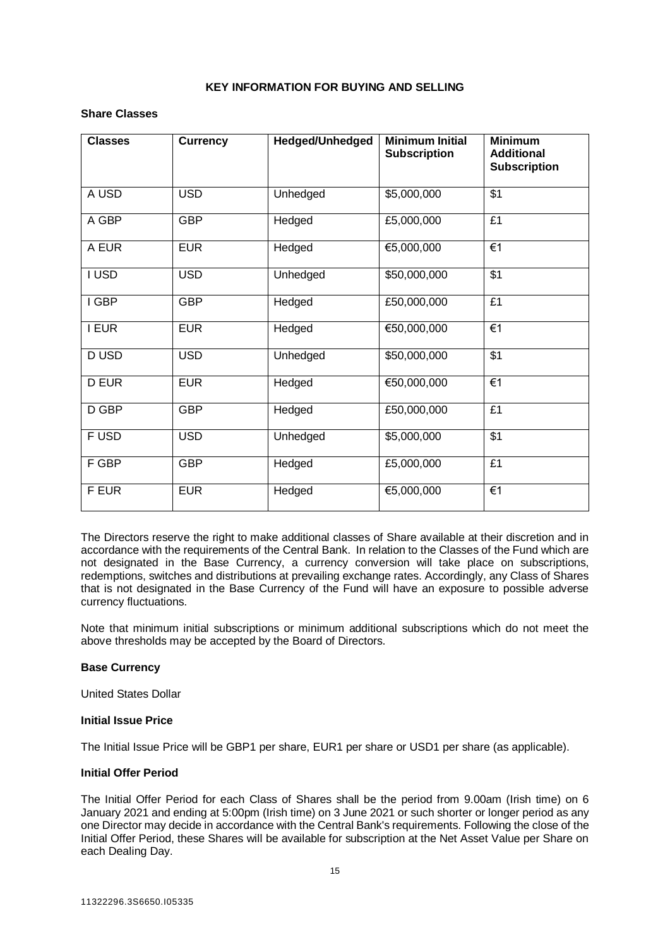#### **KEY INFORMATION FOR BUYING AND SELLING**

#### <span id="page-14-0"></span>**Share Classes**

| <b>Classes</b> | <b>Currency</b> | Hedged/Unhedged | <b>Minimum Initial</b><br><b>Subscription</b> | <b>Minimum</b><br><b>Additional</b><br><b>Subscription</b> |
|----------------|-----------------|-----------------|-----------------------------------------------|------------------------------------------------------------|
| A USD          | <b>USD</b>      | Unhedged        | \$5,000,000                                   | \$1                                                        |
| A GBP          | <b>GBP</b>      | Hedged          | £5,000,000                                    | £1                                                         |
| A EUR          | <b>EUR</b>      | Hedged          | €5,000,000                                    | €1                                                         |
| I USD          | <b>USD</b>      | Unhedged        | \$50,000,000                                  | \$1                                                        |
| I GBP          | <b>GBP</b>      | Hedged          | £50,000,000                                   | £1                                                         |
| I EUR          | <b>EUR</b>      | Hedged          | €50,000,000                                   | €1                                                         |
| D USD          | <b>USD</b>      | Unhedged        | \$50,000,000                                  | \$1                                                        |
| <b>D EUR</b>   | <b>EUR</b>      | Hedged          | €50,000,000                                   | €1                                                         |
| D GBP          | <b>GBP</b>      | Hedged          | £50,000,000                                   | £1                                                         |
| F USD          | <b>USD</b>      | Unhedged        | \$5,000,000                                   | \$1                                                        |
| F GBP          | <b>GBP</b>      | Hedged          | £5,000,000                                    | £1                                                         |
| F EUR          | <b>EUR</b>      | Hedged          | €5,000,000                                    | €1                                                         |

The Directors reserve the right to make additional classes of Share available at their discretion and in accordance with the requirements of the Central Bank. In relation to the Classes of the Fund which are not designated in the Base Currency, a currency conversion will take place on subscriptions, redemptions, switches and distributions at prevailing exchange rates. Accordingly, any Class of Shares that is not designated in the Base Currency of the Fund will have an exposure to possible adverse currency fluctuations.

Note that minimum initial subscriptions or minimum additional subscriptions which do not meet the above thresholds may be accepted by the Board of Directors.

#### **Base Currency**

United States Dollar

#### **Initial Issue Price**

The Initial Issue Price will be GBP1 per share, EUR1 per share or USD1 per share (as applicable).

#### **Initial Offer Period**

The Initial Offer Period for each Class of Shares shall be the period from 9.00am (Irish time) on 6 January 2021 and ending at 5:00pm (Irish time) on 3 June 2021 or such shorter or longer period as any one Director may decide in accordance with the Central Bank's requirements. Following the close of the Initial Offer Period, these Shares will be available for subscription at the Net Asset Value per Share on each Dealing Day.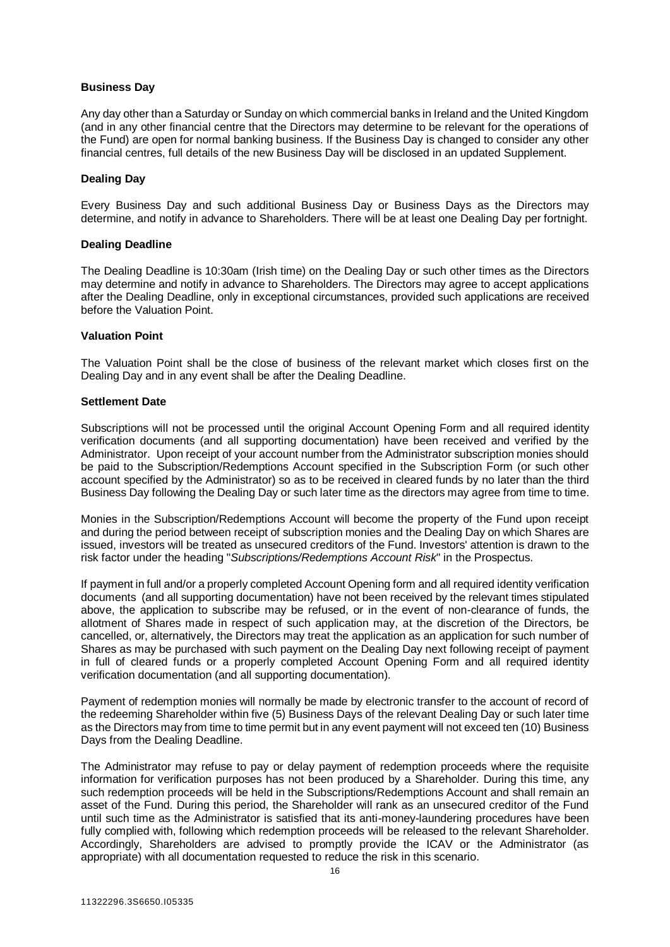#### **Business Day**

Any day other than a Saturday or Sunday on which commercial banks in Ireland and the United Kingdom (and in any other financial centre that the Directors may determine to be relevant for the operations of the Fund) are open for normal banking business. If the Business Day is changed to consider any other financial centres, full details of the new Business Day will be disclosed in an updated Supplement.

#### **Dealing Day**

Every Business Day and such additional Business Day or Business Days as the Directors may determine, and notify in advance to Shareholders. There will be at least one Dealing Day per fortnight.

#### **Dealing Deadline**

The Dealing Deadline is 10:30am (Irish time) on the Dealing Day or such other times as the Directors may determine and notify in advance to Shareholders. The Directors may agree to accept applications after the Dealing Deadline, only in exceptional circumstances, provided such applications are received before the Valuation Point.

#### **Valuation Point**

The Valuation Point shall be the close of business of the relevant market which closes first on the Dealing Day and in any event shall be after the Dealing Deadline.

#### **Settlement Date**

Subscriptions will not be processed until the original Account Opening Form and all required identity verification documents (and all supporting documentation) have been received and verified by the Administrator. Upon receipt of your account number from the Administrator subscription monies should be paid to the Subscription/Redemptions Account specified in the Subscription Form (or such other account specified by the Administrator) so as to be received in cleared funds by no later than the third Business Day following the Dealing Day or such later time as the directors may agree from time to time.

Monies in the Subscription/Redemptions Account will become the property of the Fund upon receipt and during the period between receipt of subscription monies and the Dealing Day on which Shares are issued, investors will be treated as unsecured creditors of the Fund. Investors' attention is drawn to the risk factor under the heading "*Subscriptions/Redemptions Account Risk*" in the Prospectus.

If payment in full and/or a properly completed Account Opening form and all required identity verification documents (and all supporting documentation) have not been received by the relevant times stipulated above, the application to subscribe may be refused, or in the event of non-clearance of funds, the allotment of Shares made in respect of such application may, at the discretion of the Directors, be cancelled, or, alternatively, the Directors may treat the application as an application for such number of Shares as may be purchased with such payment on the Dealing Day next following receipt of payment in full of cleared funds or a properly completed Account Opening Form and all required identity verification documentation (and all supporting documentation).

Payment of redemption monies will normally be made by electronic transfer to the account of record of the redeeming Shareholder within five (5) Business Days of the relevant Dealing Day or such later time as the Directors may from time to time permit but in any event payment will not exceed ten (10) Business Days from the Dealing Deadline.

The Administrator may refuse to pay or delay payment of redemption proceeds where the requisite information for verification purposes has not been produced by a Shareholder. During this time, any such redemption proceeds will be held in the Subscriptions/Redemptions Account and shall remain an asset of the Fund. During this period, the Shareholder will rank as an unsecured creditor of the Fund until such time as the Administrator is satisfied that its anti-money-laundering procedures have been fully complied with, following which redemption proceeds will be released to the relevant Shareholder. Accordingly, Shareholders are advised to promptly provide the ICAV or the Administrator (as appropriate) with all documentation requested to reduce the risk in this scenario.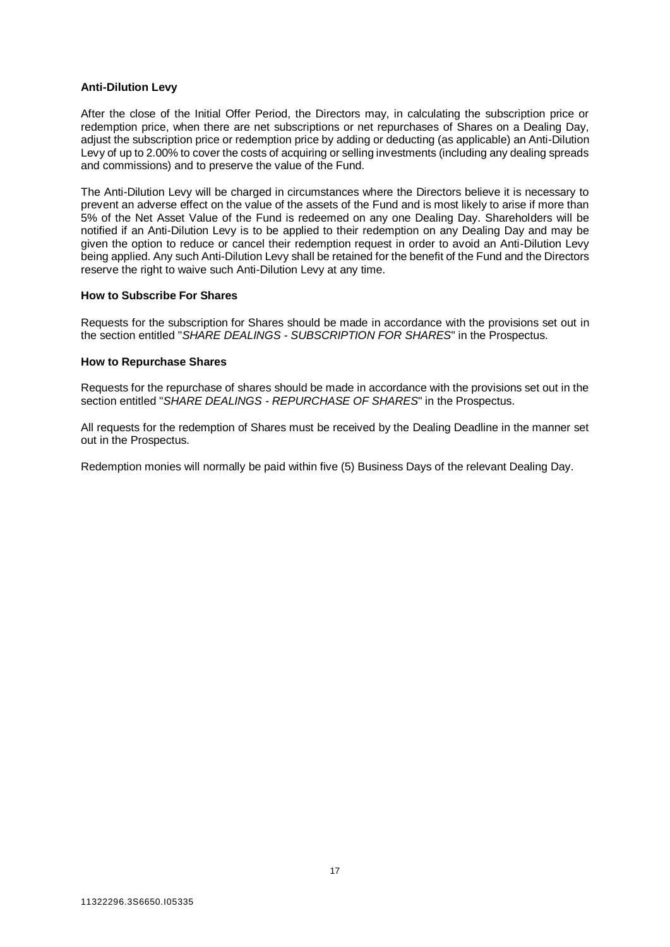#### **Anti-Dilution Levy**

After the close of the Initial Offer Period, the Directors may, in calculating the subscription price or redemption price, when there are net subscriptions or net repurchases of Shares on a Dealing Day, adjust the subscription price or redemption price by adding or deducting (as applicable) an Anti-Dilution Levy of up to 2.00% to cover the costs of acquiring or selling investments (including any dealing spreads and commissions) and to preserve the value of the Fund.

The Anti-Dilution Levy will be charged in circumstances where the Directors believe it is necessary to prevent an adverse effect on the value of the assets of the Fund and is most likely to arise if more than 5% of the Net Asset Value of the Fund is redeemed on any one Dealing Day. Shareholders will be notified if an Anti-Dilution Levy is to be applied to their redemption on any Dealing Day and may be given the option to reduce or cancel their redemption request in order to avoid an Anti-Dilution Levy being applied. Any such Anti-Dilution Levy shall be retained for the benefit of the Fund and the Directors reserve the right to waive such Anti-Dilution Levy at any time.

#### **How to Subscribe For Shares**

Requests for the subscription for Shares should be made in accordance with the provisions set out in the section entitled "*SHARE DEALINGS - SUBSCRIPTION FOR SHARES*" in the Prospectus.

#### **How to Repurchase Shares**

Requests for the repurchase of shares should be made in accordance with the provisions set out in the section entitled "*SHARE DEALINGS - REPURCHASE OF SHARES*" in the Prospectus.

All requests for the redemption of Shares must be received by the Dealing Deadline in the manner set out in the Prospectus.

Redemption monies will normally be paid within five (5) Business Days of the relevant Dealing Day.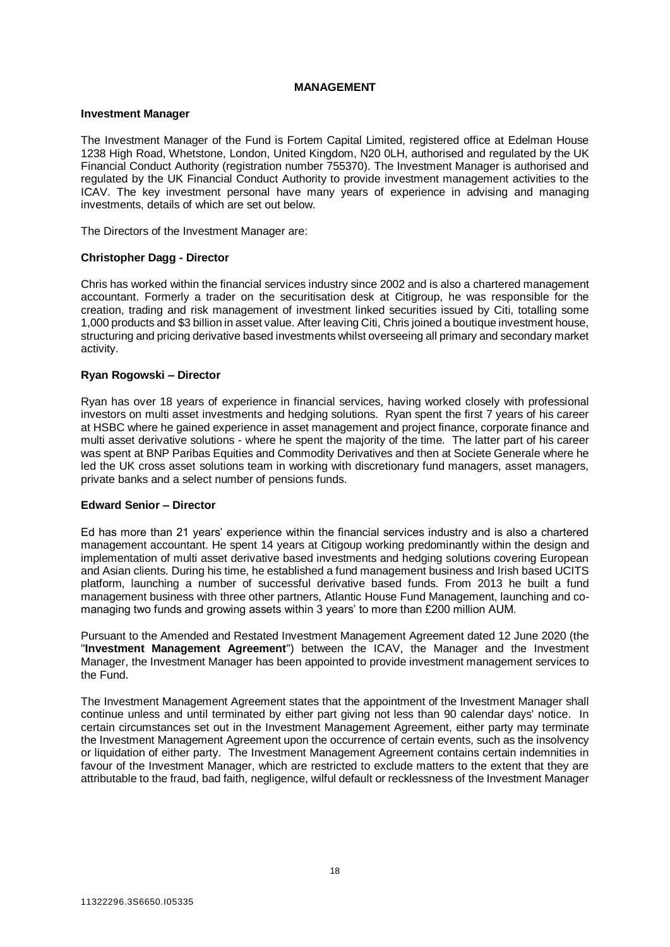#### **MANAGEMENT**

#### <span id="page-17-0"></span>**Investment Manager**

The Investment Manager of the Fund is Fortem Capital Limited, registered office at Edelman House 1238 High Road, Whetstone, London, United Kingdom, N20 0LH, authorised and regulated by the UK Financial Conduct Authority (registration number 755370). The Investment Manager is authorised and regulated by the UK Financial Conduct Authority to provide investment management activities to the ICAV. The key investment personal have many years of experience in advising and managing investments, details of which are set out below.

The Directors of the Investment Manager are:

#### **Christopher Dagg - Director**

Chris has worked within the financial services industry since 2002 and is also a chartered management accountant. Formerly a trader on the securitisation desk at Citigroup, he was responsible for the creation, trading and risk management of investment linked securities issued by Citi, totalling some 1,000 products and \$3 billion in asset value. After leaving Citi, Chris joined a boutique investment house, structuring and pricing derivative based investments whilst overseeing all primary and secondary market activity.

#### **Ryan Rogowski – Director**

Ryan has over 18 years of experience in financial services, having worked closely with professional investors on multi asset investments and hedging solutions. Ryan spent the first 7 years of his career at HSBC where he gained experience in asset management and project finance, corporate finance and multi asset derivative solutions - where he spent the majority of the time. The latter part of his career was spent at BNP Paribas Equities and Commodity Derivatives and then at Societe Generale where he led the UK cross asset solutions team in working with discretionary fund managers, asset managers, private banks and a select number of pensions funds.

#### **Edward Senior – Director**

Ed has more than 21 years' experience within the financial services industry and is also a chartered management accountant. He spent 14 years at Citigoup working predominantly within the design and implementation of multi asset derivative based investments and hedging solutions covering European and Asian clients. During his time, he established a fund management business and Irish based UCITS platform, launching a number of successful derivative based funds. From 2013 he built a fund management business with three other partners, Atlantic House Fund Management, launching and comanaging two funds and growing assets within 3 years' to more than £200 million AUM.

Pursuant to the Amended and Restated Investment Management Agreement dated 12 June 2020 (the "**Investment Management Agreement**") between the ICAV, the Manager and the Investment Manager, the Investment Manager has been appointed to provide investment management services to the Fund.

The Investment Management Agreement states that the appointment of the Investment Manager shall continue unless and until terminated by either part giving not less than 90 calendar days' notice. In certain circumstances set out in the Investment Management Agreement, either party may terminate the Investment Management Agreement upon the occurrence of certain events, such as the insolvency or liquidation of either party. The Investment Management Agreement contains certain indemnities in favour of the Investment Manager, which are restricted to exclude matters to the extent that they are attributable to the fraud, bad faith, negligence, wilful default or recklessness of the Investment Manager